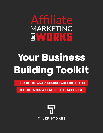### Affiliate MARKETING EVVII R

## **Your Business Building Toolkit**

**THINK OF THIS AS A RESOURCE PAGE FOR SOME OF** 

**THE TOOLS YOU WILL NEED TO BE SUCCESSFUL**

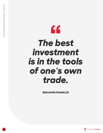### " *The best investment is in the tools of one's own trade.*

**BENJAMIN FRANKLIN**

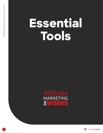# **Essential Tools**





**3**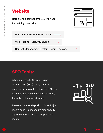#### **Website:** 000 C  $\mathbf Q$ Here are the components you will need for building a website: [Domain Name - NameCheap.com](https://www.namecheap.com/) [Web Hosting - SiteGround.com](https://www.siteground.com/)

[Content Management System - WordPress.org](https://wordpress.org/)

#### **SEO Tools:**

When it comes to Search Engine Optimization (SEO) tools, I want to convince you to get the tool from Ahrefs. After setting up your website, it's really the only tool you need to use.

I have no relationship with this tool, I just recommend it because it's amazing. It's a premium tool, but you get premium results.



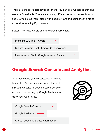There are cheaper alternatives out there. You can do a Google search and see what's available. There are so many different keyword research tools and SEO tools out there, along with good reviews and comparison articles to consider reading if you want to.

Bottom line: I use Ahrefs and Keywords Everywhere.



#### **Google Search Console and Analytics**

After you set up your website, you will want to create a Google account. You will want to link your website to Google Search Console, and consider setting up Google Analytics to track your web traffic.



[Google Search Console](https://search.google.com/search-console/about)

[Google Analytics](https://analytics.google.com/analytics/web/)

[Clicky \(Google Analytics Alternative\)](https://clicky.com/)

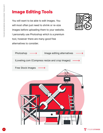#### **Image Editing Tools**

You will want to be able to edit images. You will most often just need to shrink or re-size images before uploading them to your website. I personally use Photoshop which is a premium tool, however there are many good free alternatives to consider.





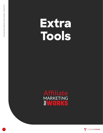## **Extra Tools**

### Affiliate **WORKS**



**7**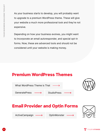As your business starts to develop, you will probably want to upgrade to a premium WordPress theme. These will give your website a much more professional look and they're not expensive.

Depending on how your business evolves, you might want to incorporate an email autoresponder, and special opt-in forms. Now, these are advanced tools and should not be considered until your website is making money.

#### **Premium WordPress Themes**



#### **Email Provider and Optin Forms**

[ActiveCampaign](https://www.activecampaign.com/)

**[OptinMonster](https://optinmonster.com/)**